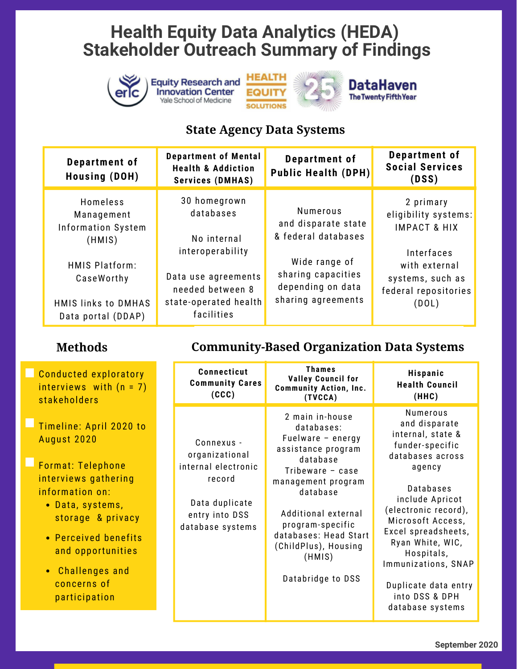

#### **State Agency Data Systems**

| Department of<br><b>Housing (DOH)</b>                                                   | <b>Department of Mental</b><br><b>Health &amp; Addiction</b><br><b>Services (DMHAS)</b>            | Department of<br><b>Public Health (DPH)</b>                                    | Department of<br><b>Social Services</b><br>(DSS)                                 |
|-----------------------------------------------------------------------------------------|----------------------------------------------------------------------------------------------------|--------------------------------------------------------------------------------|----------------------------------------------------------------------------------|
| Homeless<br>Management<br><b>Information System</b><br>(HMIS)                           | 30 homegrown<br>databases<br>No internal                                                           | <b>Numerous</b><br>and disparate state<br>& federal databases                  | 2 primary<br>eligibility systems:<br><b>IMPACT &amp; HIX</b>                     |
| <b>HMIS Platform:</b><br>CaseWorthy<br><b>HMIS links to DMHAS</b><br>Data portal (DDAP) | interoperability<br>Data use agreements<br>needed between 8<br>state-operated health<br>facilities | Wide range of<br>sharing capacities<br>depending on data<br>sharing agreements | Interfaces<br>with external<br>systems, such as<br>federal repositories<br>(DOL) |

**Methods**

#### **Community-Based Organization Data Systems**

| Conducted exploratory<br>interviews with (n = 7)<br>stakeholders                                                                                                                                                                                 | Connecticut<br><b>Community Cares</b><br>(CCC)                                                                        | <b>Thames</b><br><b>Valley Council for</b><br><b>Community Action, Inc.</b><br>(TVCCA)                                                                                                                                                                                  | <b>Hispanic</b><br><b>Health Council</b><br>(HHC)                                                                                                                                                                                                                                                                                 |
|--------------------------------------------------------------------------------------------------------------------------------------------------------------------------------------------------------------------------------------------------|-----------------------------------------------------------------------------------------------------------------------|-------------------------------------------------------------------------------------------------------------------------------------------------------------------------------------------------------------------------------------------------------------------------|-----------------------------------------------------------------------------------------------------------------------------------------------------------------------------------------------------------------------------------------------------------------------------------------------------------------------------------|
| Timeline: April 2020 to<br>August 2020<br>Format: Telephone<br>interviews gathering<br>information on:<br>• Data, systems,<br>storage & privacy<br>• Perceived benefits<br>and opportunities<br>• Challenges and<br>concerns of<br>participation | Connexus -<br>organizational<br>internal electronic<br>record<br>Data duplicate<br>entry into DSS<br>database systems | 2 main in-house<br>databases:<br>Fuelware - energy<br>assistance program<br>database<br>Tribeware $-$ case<br>management program<br>database<br>Additional external<br>program-specific<br>databases: Head Start<br>(ChildPlus), Housing<br>(HMIS)<br>Databridge to DSS | Numerous<br>and disparate<br>internal, state &<br>funder-specific<br>databases across<br>agency<br><b>Databases</b><br>include Apricot<br>(electronic record),<br>Microsoft Access,<br>Excel spreadsheets,<br>Ryan White, WIC,<br>Hospitals,<br>Immunizations, SNAP<br>Duplicate data entry<br>into DSS & DPH<br>database systems |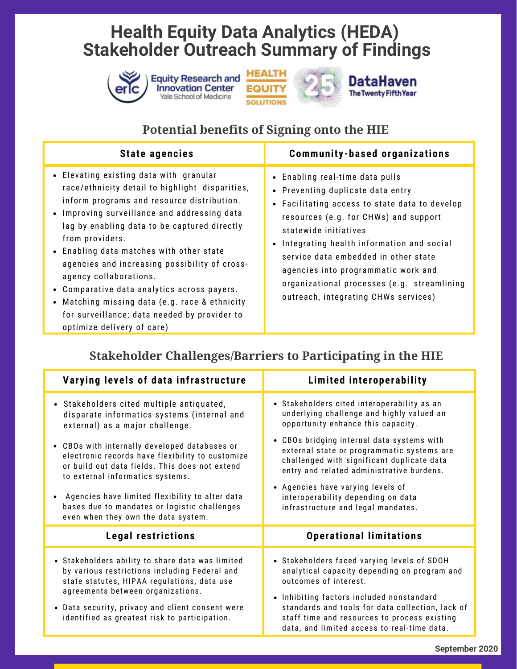





#### **Potential benefits of Signing onto the HIE**

| <b>State agencies</b>                                                                                                                                                                                                                                                                                                                                                                                                                                                                                                                                           | <b>Community-based organizations</b>                                                                                                                                                                                                                                                                                                                                                                        |
|-----------------------------------------------------------------------------------------------------------------------------------------------------------------------------------------------------------------------------------------------------------------------------------------------------------------------------------------------------------------------------------------------------------------------------------------------------------------------------------------------------------------------------------------------------------------|-------------------------------------------------------------------------------------------------------------------------------------------------------------------------------------------------------------------------------------------------------------------------------------------------------------------------------------------------------------------------------------------------------------|
| • Elevating existing data with granular<br>race/ethnicity detail to highlight disparities,<br>inform programs and resource distribution.<br>• Improving surveillance and addressing data<br>lag by enabling data to be captured directly<br>from providers.<br>• Enabling data matches with other state<br>agencies and increasing possibility of cross-<br>agency collaborations.<br>• Comparative data analytics across payers.<br>Matching missing data (e.g. race & ethnicity<br>for surveillance; data needed by provider to<br>optimize delivery of care) | • Enabling real-time data pulls<br>• Preventing duplicate data entry<br>• Facilitating access to state data to develop<br>resources (e.g. for CHWs) and support<br>statewide initiatives<br>Integrating health information and social<br>service data embedded in other state<br>agencies into programmatic work and<br>organizational processes (e.g. streamlining<br>outreach, integrating CHWs services) |

### **Stakeholder Challenges/Barriers to Participating in the HIE**

| Varying levels of data infrastructure                                                                                                                                                                                                                                                                                             | Limited interoperability                                                                                                                                                                                                                                                                                             |
|-----------------------------------------------------------------------------------------------------------------------------------------------------------------------------------------------------------------------------------------------------------------------------------------------------------------------------------|----------------------------------------------------------------------------------------------------------------------------------------------------------------------------------------------------------------------------------------------------------------------------------------------------------------------|
| • Stakeholders cited multiple antiquated,<br>disparate informatics systems (internal and<br>external) as a major challenge.                                                                                                                                                                                                       | • Stakeholders cited interoperability as an<br>underlying challenge and highly valued an<br>opportunity enhance this capacity.                                                                                                                                                                                       |
| • CBOs with internally developed databases or<br>electronic records have flexibility to customize<br>or build out data fields. This does not extend<br>to external informatics systems.<br>Agencies have limited flexibility to alter data<br>bases due to mandates or logistic challenges<br>even when they own the data system. | • CBOs bridging internal data systems with<br>external state or programmatic systems are<br>challenged with significant duplicate data<br>entry and related administrative burdens.<br>• Agencies have varying levels of<br>interoperability depending on data<br>infrastructure and legal mandates.                 |
| <b>Legal restrictions</b>                                                                                                                                                                                                                                                                                                         | <b>Operational limitations</b>                                                                                                                                                                                                                                                                                       |
| • Stakeholders ability to share data was limited<br>by various restrictions including Federal and<br>state statutes, HIPAA regulations, data use<br>agreements between organizations.<br>• Data security, privacy and client consent were<br>identified as greatest risk to participation.                                        | • Stakeholders faced varying levels of SDOH<br>analytical capacity depending on program and<br>outcomes of interest.<br>• Inhibiting factors included nonstandard<br>standards and tools for data collection, lack of<br>staff time and resources to process existing<br>data, and limited access to real-time data. |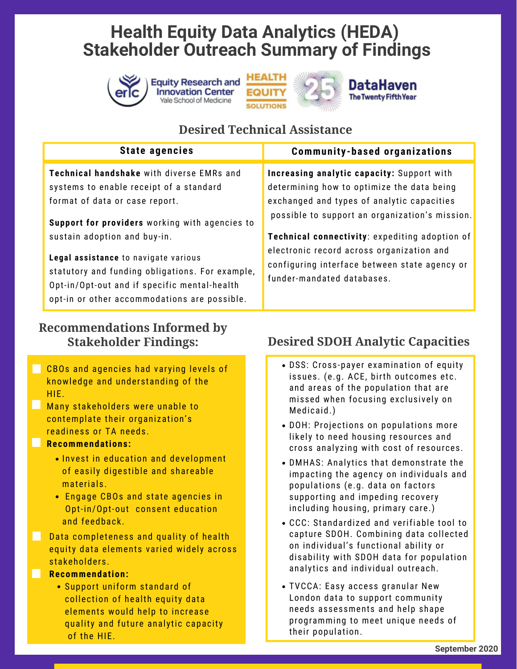





# **The Twenty Fifth Year**

## **Desired Technical Assistance**

| <b>State agencies</b>                                                                                                                                                                   | <b>Community-based organizations</b>                                                                                     |  |
|-----------------------------------------------------------------------------------------------------------------------------------------------------------------------------------------|--------------------------------------------------------------------------------------------------------------------------|--|
| Technical handshake with diverse EMRs and<br>systems to enable receipt of a standard                                                                                                    | Increasing analytic capacity: Support with<br>determining how to optimize the data being                                 |  |
| format of data or case report.<br>Support for providers working with agencies to                                                                                                        | exchanged and types of analytic capacities<br>possible to support an organization's mission.                             |  |
| sustain adoption and buy-in.                                                                                                                                                            | <b>Technical connectivity:</b> expediting adoption of                                                                    |  |
| Legal assistance to navigate various<br>statutory and funding obligations. For example,<br>Opt-in/Opt-out and if specific mental-health<br>opt-in or other accommodations are possible. | electronic record across organization and<br>configuring interface between state agency or<br>funder-mandated databases. |  |

#### **Recommendations Informed by Stakeholder Findings:**

- CBOs and agencies had varying levels of knowledge and understanding of the HIE.
- **Many stakeholders were unable to** contemplate their organization's readiness or TA needs.

#### **Recommendations:**

- **.** Invest in education and development of easily digestible and shareable materials.
- Engage CBOs and state agencies in Opt-in/Opt-out consent education and feedback.
- **Data completeness and quality of health** equity data elements varied widely across stakeholders.

#### **Recommendation:**

Support uniform standard of collection of health equity data elements would help to increase quality and future analytic capacity of the HIE.

## **Desired SDOH Analytic Capacities**

- DSS: Cross-payer examination of equity issues. (e.g. ACE, birth outcomes etc. and areas of the population that are missed when focusing exclusively on Medicaid.)
- DOH: Projections on populations more likely to need housing resources and cross analyzing with cost of resources.
- DMHAS: Analytics that demonstrate the impacting the agency on individuals and populations (e.g. data on factors supporting and impeding recovery including housing, primary care.)
- CCC: Standardized and verifiable tool to capture SDOH. Combining data collected on individual's functional ability or disability with SDOH data for population analytics and individual outreach.
- TVCCA: Easy access granular New London data to support community needs assessments and help shape programming to meet unique needs of their population.